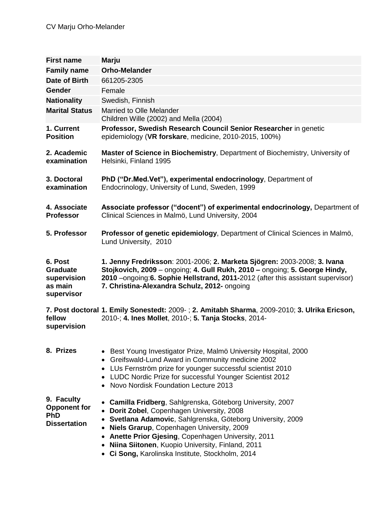| <b>First name</b>                                                      | <b>Marju</b>                                                                                                                                                                                                                                                                                                                                                                                                        |
|------------------------------------------------------------------------|---------------------------------------------------------------------------------------------------------------------------------------------------------------------------------------------------------------------------------------------------------------------------------------------------------------------------------------------------------------------------------------------------------------------|
| <b>Family name</b>                                                     | <b>Orho-Melander</b>                                                                                                                                                                                                                                                                                                                                                                                                |
| Date of Birth                                                          | 661205-2305                                                                                                                                                                                                                                                                                                                                                                                                         |
| <b>Gender</b>                                                          | Female                                                                                                                                                                                                                                                                                                                                                                                                              |
| <b>Nationality</b>                                                     | Swedish, Finnish                                                                                                                                                                                                                                                                                                                                                                                                    |
| <b>Marital Status</b>                                                  | Married to Olle Melander<br>Children Wille (2002) and Mella (2004)                                                                                                                                                                                                                                                                                                                                                  |
| 1. Current<br><b>Position</b>                                          | Professor, Swedish Research Council Senior Researcher in genetic<br>epidemiology (VR forskare, medicine, 2010-2015, 100%)                                                                                                                                                                                                                                                                                           |
| 2. Academic<br>examination                                             | Master of Science in Biochemistry, Department of Biochemistry, University of<br>Helsinki, Finland 1995                                                                                                                                                                                                                                                                                                              |
| 3. Doctoral<br>examination                                             | PhD ("Dr.Med.Vet"), experimental endocrinology, Department of<br>Endocrinology, University of Lund, Sweden, 1999                                                                                                                                                                                                                                                                                                    |
| 4. Associate<br><b>Professor</b>                                       | Associate professor ("docent") of experimental endocrinology, Department of<br>Clinical Sciences in Malmö, Lund University, 2004                                                                                                                                                                                                                                                                                    |
| 5. Professor                                                           | Professor of genetic epidemiology, Department of Clinical Sciences in Malmö,<br>Lund University, 2010                                                                                                                                                                                                                                                                                                               |
| 6. Post<br><b>Graduate</b><br>supervision<br>as main<br>supervisor     | 1. Jenny Fredriksson: 2001-2006; 2. Marketa Sjögren: 2003-2008; 3. Ivana<br>Stojkovich, 2009 - ongoing; 4. Gull Rukh, 2010 - ongoing; 5. George Hindy,<br>2010 – ongoing: 6. Sophie Hellstrand, 2011-2012 (after this assistant supervisor)<br>7. Christina-Alexandra Schulz, 2012- ongoing                                                                                                                         |
| fellow<br>supervision                                                  | 7. Post doctoral 1. Emily Sonestedt: 2009-; 2. Amitabh Sharma, 2009-2010; 3. Ulrika Ericson,<br>2010-; 4. Ines Mollet, 2010-; 5. Tanja Stocks, 2014-                                                                                                                                                                                                                                                                |
| 8. Prizes                                                              | Best Young Investigator Prize, Malmö University Hospital, 2000<br>Greifswald-Lund Award in Community medicine 2002<br>٠<br>LUs Fernström prize for younger successful scientist 2010<br>٠<br>LUDC Nordic Prize for successful Younger Scientist 2012<br>Novo Nordisk Foundation Lecture 2013                                                                                                                        |
| 9. Faculty<br><b>Opponent for</b><br><b>PhD</b><br><b>Dissertation</b> | Camilla Fridberg, Sahlgrenska, Göteborg University, 2007<br>Dorit Zobel, Copenhagen University, 2008<br>$\bullet$<br>Svetlana Adamovic, Sahlgrenska, Göteborg University, 2009<br><b>Niels Grarup, Copenhagen University, 2009</b><br>Anette Prior Gjesing, Copenhagen University, 2011<br>$\bullet$<br><b>Niina Siitonen, Kuopio University, Finland, 2011</b><br>• Ci Song, Karolinska Institute, Stockholm, 2014 |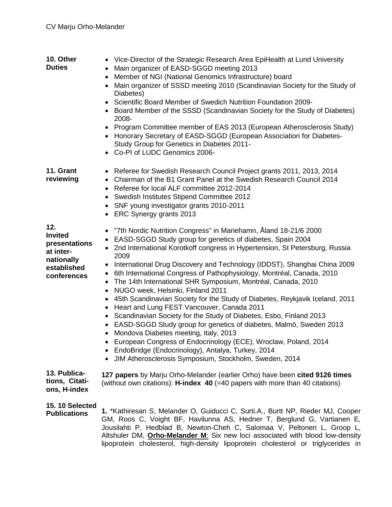| 10. Other<br><b>Duties</b>                                                                      | • Vice-Director of the Strategic Research Area EpiHealth at Lund University<br>Main organizer of EASD-SGGD meeting 2013<br>Member of NGI (National Genomics Infrastructure) board<br>$\bullet$<br>Main organizer of SSSD meeting 2010 (Scandinavian Society for the Study of<br>Diabetes)<br>Scientific Board Member of Swedich Nutrition Foundation 2009-<br>Board Member of the SSSD (Scandinavian Society for the Study of Diabetes)<br>2008-<br>Program Committee member of EAS 2013 (European Atherosclerosis Study)<br>$\bullet$<br>Honorary Secretary of EASD-SGGD (European Association for Diabetes-<br>Study Group for Genetics in Diabetes 2011-<br>Co-PI of LUDC Genomics 2006-                                                                                                                                                                                                                                                                                                                                                                              |
|-------------------------------------------------------------------------------------------------|--------------------------------------------------------------------------------------------------------------------------------------------------------------------------------------------------------------------------------------------------------------------------------------------------------------------------------------------------------------------------------------------------------------------------------------------------------------------------------------------------------------------------------------------------------------------------------------------------------------------------------------------------------------------------------------------------------------------------------------------------------------------------------------------------------------------------------------------------------------------------------------------------------------------------------------------------------------------------------------------------------------------------------------------------------------------------|
| 11. Grant<br>reviewing                                                                          | Referee for Swedish Research Council Project grants 2011, 2013, 2014<br>$\bullet$<br>Chairman of the B1 Grant Panel at the Swedish Research Council 2014<br>Referee for local ALF committee 2012-2014<br>٠<br>Swedish Institutes Stipend Committee 2012<br>$\bullet$<br>• SNF young investigator grants 2010-2011<br>ERC Synergy grants 2013                                                                                                                                                                                                                                                                                                                                                                                                                                                                                                                                                                                                                                                                                                                             |
| 12.<br><b>Invited</b><br>presentations<br>at inter-<br>nationally<br>established<br>conferences | "7th Nordic Nutrition Congress" in Mariehamn, Aland 18-21/6 2000<br>٠<br>EASD-SGGD Study group for genetics of diabetes, Spain 2004<br>٠<br>2nd International Korotkoff congress in Hypertension, St Petersburg, Russia<br>2009<br>International Drug Discovery and Technology (IDDST), Shanghai China 2009<br>٠<br>6th International Congress of Pathophysiology, Montréal, Canada, 2010<br>٠<br>The 14th International SHR Symposium, Montréal, Canada, 2010<br>$\bullet$<br>NUGO week, Helsinki, Finland 2011<br>$\bullet$<br>45th Scandinavian Society for the Study of Diabetes, Reykjavik Iceland, 2011<br>٠<br>Heart and Lung FEST Vancouver, Canada 2011<br>٠<br>Scandinavian Society for the Study of Diabetes, Esbo, Finland 2013<br>EASD-SGGD Study group for genetics of diabetes, Malmö, Sweden 2013<br>• Mondova Diabetes meeting, Italy, 2013<br>European Congress of Endocrinology (ECE), Wroclaw, Poland, 2014<br>EndoBridge (Endocrinology), Antalya, Turkey, 2014<br>$\bullet$<br>JIM Atherosclerosis Symposium, Stockholm, Sweden, 2014<br>$\bullet$ |
| 13. Publica-<br>tions, Citati-<br>ons, H-index                                                  | 127 papers by Marju Orho-Melander (earlier Orho) have been cited 9126 times<br>(without own citations): $H$ -index 40 (=40 papers with more than 40 citations)                                                                                                                                                                                                                                                                                                                                                                                                                                                                                                                                                                                                                                                                                                                                                                                                                                                                                                           |
| 15.10 Selected<br><b>Publications</b>                                                           | 1. *Kathiresan S, Melander O, Guiducci C, Surti.A., Burtt NP, Rieder MJ, Cooper<br>GM, Roos C, Voight BF, Havilunna AS, Hedner T, Berglund G, Vartianen E,<br>Jousilahti P, Hedblad B, Newton-Cheh C, Salomaa V, Peltonen L, Groop L,<br>Altshuler DM, <b>Orho-Melander M</b> : Six new loci associated with blood low-density<br>lipoprotein cholesterol, high-density lipoprotein cholesterol or triglycerides in                                                                                                                                                                                                                                                                                                                                                                                                                                                                                                                                                                                                                                                      |